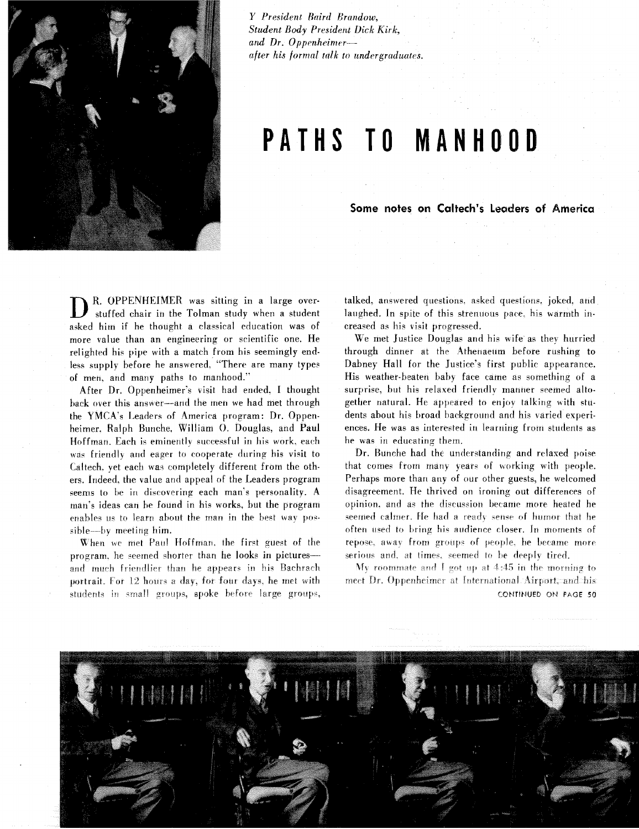

*Y President Baird firandow, Student Body President Dick Kirk,*  and Dr. Oppenheimer*lifter his formal talk to undergraduates.* 

## **PATHS TO MANHOOD**

**Some notes on Caltech's Leaders of America** 

**D** R. OPPENHEIMER was sitting in a large over-<br>stuffed chair in the Tolman study when a student asked him if he thought a classical education was of more value than an engineering or scientific one. He relighted his pipe with a match from his seemingly endless supply before he answered. "There are many types of men, and many paths to manhood."

After Dr. Oppenheimer's visit had ended. I thought hack over this answer-and the men we had met through the YMCA's Leaders of America program: Dr. Oppenheimer. Ralph Bunche, William O. Douglas, and Paul Hoffman. Each is eminently successful in his work, each was friendly and eager to cooperate during his visit to Caltech, yet each was completely different from the others. Indeed, the value and appeal of the Leaders program seems to be in discovering each man's personality. A man's ideas can he found in his works, but the program enables us to learn about the man in the best way possible--by meeting him.

 $\mathbf{\bar{W}}$ hen we met Paul Hoffman, the first guest of the program, he seemed shorter than he looks in pictures--and much friendlier than he appears in his Bachrach portrait. For 12 hours a day, for four days, he met with students in small groups, spoke before large groups, talked, answered questions. asked questions. joked. and laughed. In spite of this strenuous pace. his warmth increased as his visit progressed.

We met Justice Douglas and his wife as they hurried through dinner at the Athenaeum before rushing to Dabney Hall for the Justice's first public appearance. His weather-beaten baby face came as something of a surprise, but his relaxed friendly manner seemed altogether natural. He appeared to enjov talking with students about his broad background and his varied experiences. He was as interested in learriirig from students as he was in educating them.

Dr. Bunche had the understanding and relaxed poise that comes from many years of working with people. Perhaps more than any of our other guests, he welcomed disagreement. He thrived on ironing out differences of opinion, and as the discussion became more heated he seemed calmer. He had a ready sense of humor that he often used to bring his audience closer. In moments of repose, away from groups of people, he became more serious and, at times, seemed to be deeply tired.

My roommate and I got up at  $4:45$  in the morning to meet Dr. Oppenheimer at International Airport, and his CONTINUED ON PAGE 50